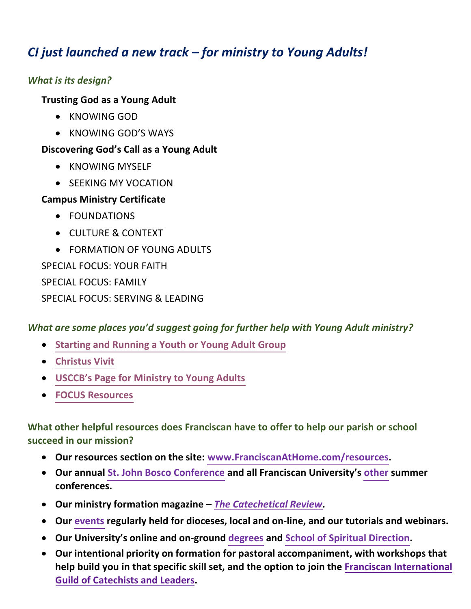## *CI just launched a new track – for ministry to Young Adults!*

### *What is its design?*

### **Trusting God as a Young Adult**

- KNOWING GOD
- KNOWING GOD'S WAYS

### **Discovering God's Call as a Young Adult**

- KNOWING MYSELF
- SEEKING MY VOCATION

### **Campus Ministry Certificate**

- FOUNDATIONS
- CULTURE & CONTEXT
- FORMATION OF YOUNG ADULTS

SPECIAL FOCUS: YOUR FAITH SPECIAL FOCUS: FAMILY SPECIAL FOCUS: SERVING & LEADING

# *What are some places you'd suggest going for further help with Young Adult ministry?*

- **[Starting and Running a Youth or Young Adult](https://www.ewtn.com/catholicism/library/starting-and-running-a-youth-or-young-adult-group-12701) Group**
- **[Christus](https://www.vatican.va/content/francesco/en/apost_exhortations/documents/papa-francesco_esortazione-ap_20190325_christus-vivit.html) Vivit**
- **[USCCB's Page for](https://www.usccb.org/topics/youth-and-young-adult-ministries/young-adult-ministry) Ministry to Young Adults**
- **[FOCUS Resources](https://focusoncampus.org/home)**

**What other helpful resources does Franciscan have to offer to help our parish or school succeed in our mission?**

- **Our resources section on the site: <www.FranciscanAtHome.com/resources>.**
- **Our annual St. John [Bosco Conference](https://steubenvilleconferences.com/events/sjb/) and all Franciscan University's [other](https://steubenvilleconferences.com) summer conferences.**
- **Our ministry formation magazine** *The [Catechetical](https://review.catechetics.com) Review***.**
- **Our [events](https://franciscanathome.com/about) regularly held for dioceses, local and on-line, and our tutorials and webinars.**
- **Our University's online and on-ground [degrees](https://franciscan.edu/programs-list/) and School of Spiritual [Direction.](https://institutes.franciscan.edu/school-spiritual-direction/)**
- **Our intentional priority on formation for pastoral accompaniment, with workshops that help build you in that specific skill set[, and the option to join the Franciscan International](https://franciscanathome.com/guild) Guild of Catechists and Leaders.**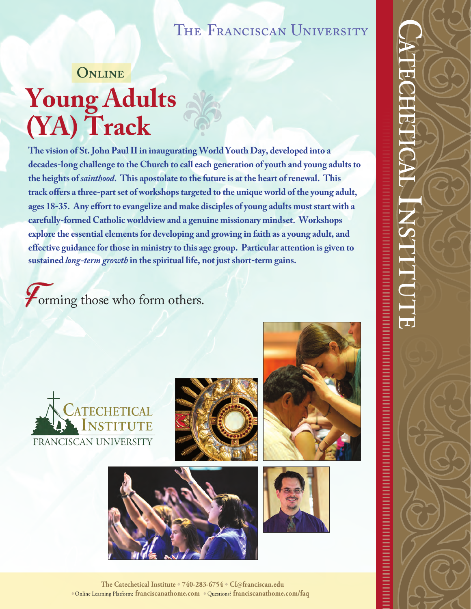# THE FRANCISCAN UNIVERSITY

# **Young Adults (YA) Track Online** alge-

**The vision of St. John Paul II in inaugurating World Youth Day, developed into a decades-long challenge to the Church to call each generation of youth and young adults to the heights of** *sainthood***. This apostolate to the future is at the heart of renewal. This track offers a three-part set of workshops targeted to the unique world of the young adult, ages 18-35. Any effort to evangelize and make disciples of young adults must start with a carefully-formed Catholic worldview and a genuine missionary mindset. Workshops explore the essential elements for developing and growing in faith as a young adult, and effective guidance for those in ministry to this age group. Particular attention is given to sustained** *long-term growth* **in the spiritual life, not just short-term gains.** 

*Forming those who form others.*